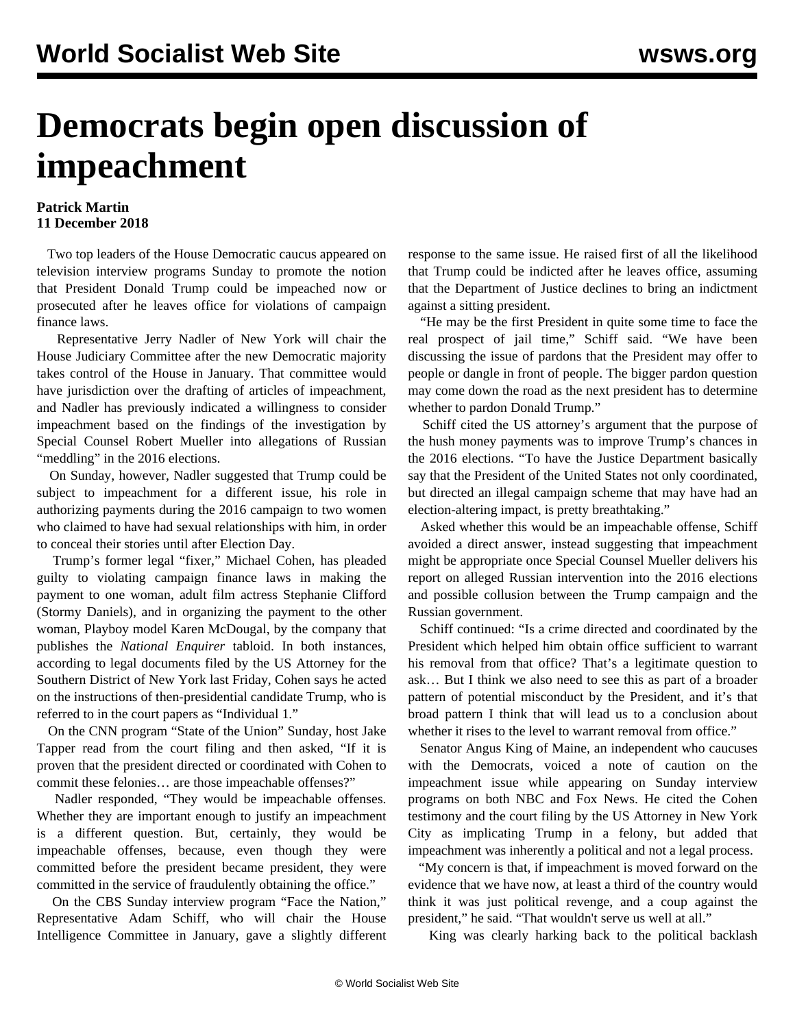## **Democrats begin open discussion of impeachment**

## **Patrick Martin 11 December 2018**

 Two top leaders of the House Democratic caucus appeared on television interview programs Sunday to promote the notion that President Donald Trump could be impeached now or prosecuted after he leaves office for violations of campaign finance laws.

 Representative Jerry Nadler of New York will chair the House Judiciary Committee after the new Democratic majority takes control of the House in January. That committee would have jurisdiction over the drafting of articles of impeachment, and Nadler has previously indicated a willingness to consider impeachment based on the findings of the investigation by Special Counsel Robert Mueller into allegations of Russian "meddling" in the 2016 elections.

 On Sunday, however, Nadler suggested that Trump could be subject to impeachment for a different issue, his role in authorizing payments during the 2016 campaign to two women who claimed to have had sexual relationships with him, in order to conceal their stories until after Election Day.

 Trump's former legal "fixer," Michael Cohen, has pleaded guilty to violating campaign finance laws in making the payment to one woman, adult film actress Stephanie Clifford (Stormy Daniels), and in organizing the payment to the other woman, Playboy model Karen McDougal, by the company that publishes the *National Enquirer* tabloid. In both instances, according to legal documents filed by the US Attorney for the Southern District of New York last Friday, Cohen says he acted on the instructions of then-presidential candidate Trump, who is referred to in the court papers as "Individual 1."

 On the CNN program "State of the Union" Sunday, host Jake Tapper read from the court filing and then asked, "If it is proven that the president directed or coordinated with Cohen to commit these felonies… are those impeachable offenses?"

 Nadler responded, "They would be impeachable offenses. Whether they are important enough to justify an impeachment is a different question. But, certainly, they would be impeachable offenses, because, even though they were committed before the president became president, they were committed in the service of fraudulently obtaining the office."

 On the CBS Sunday interview program "Face the Nation," Representative Adam Schiff, who will chair the House Intelligence Committee in January, gave a slightly different response to the same issue. He raised first of all the likelihood that Trump could be indicted after he leaves office, assuming that the Department of Justice declines to bring an indictment against a sitting president.

 "He may be the first President in quite some time to face the real prospect of jail time," Schiff said. "We have been discussing the issue of pardons that the President may offer to people or dangle in front of people. The bigger pardon question may come down the road as the next president has to determine whether to pardon Donald Trump."

 Schiff cited the US attorney's argument that the purpose of the hush money payments was to improve Trump's chances in the 2016 elections. "To have the Justice Department basically say that the President of the United States not only coordinated, but directed an illegal campaign scheme that may have had an election-altering impact, is pretty breathtaking."

 Asked whether this would be an impeachable offense, Schiff avoided a direct answer, instead suggesting that impeachment might be appropriate once Special Counsel Mueller delivers his report on alleged Russian intervention into the 2016 elections and possible collusion between the Trump campaign and the Russian government.

 Schiff continued: "Is a crime directed and coordinated by the President which helped him obtain office sufficient to warrant his removal from that office? That's a legitimate question to ask… But I think we also need to see this as part of a broader pattern of potential misconduct by the President, and it's that broad pattern I think that will lead us to a conclusion about whether it rises to the level to warrant removal from office."

 Senator Angus King of Maine, an independent who caucuses with the Democrats, voiced a note of caution on the impeachment issue while appearing on Sunday interview programs on both NBC and Fox News. He cited the Cohen testimony and the court filing by the US Attorney in New York City as implicating Trump in a felony, but added that impeachment was inherently a political and not a legal process.

 "My concern is that, if impeachment is moved forward on the evidence that we have now, at least a third of the country would think it was just political revenge, and a coup against the president," he said. "That wouldn't serve us well at all."

King was clearly harking back to the political backlash